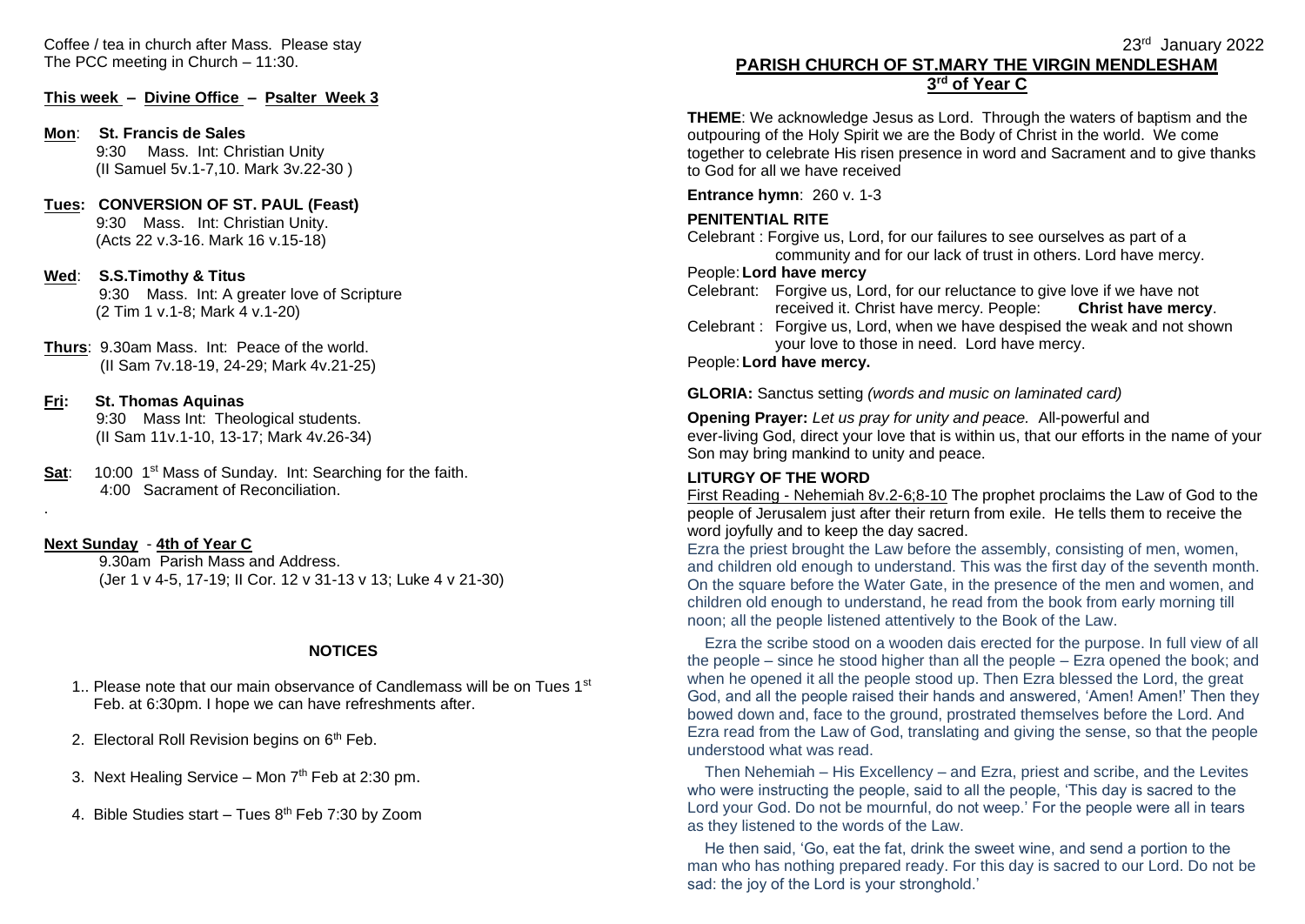Coffee / tea in church after Mass. Please stay The PCC meeting in Church – 11:30.

**This week – Divine Office – Psalter Week 3**

#### **Mon**: **St. Francis de Sales** 9:30 Mass. Int: Christian Unity (II Samuel 5v.1-7,10. Mark 3v.22-30 )

**Tues: CONVERSION OF ST. PAUL (Feast)** 9:30 Mass. Int: Christian Unity. (Acts 22 v.3-16. Mark 16 v.15-18)

# **Wed**: **S.S.Timothy & Titus**

9:30 Mass. Int: A greater love of Scripture (2 Tim 1 v.1-8; Mark 4 v.1-20)

**Thurs**: 9.30am Mass. Int: Peace of the world. (II Sam 7v.18-19, 24-29; Mark 4v.21-25)

## **Fri: St. Thomas Aquinas**

 9:30 Mass Int: Theological students. (II Sam 11v.1-10, 13-17; Mark 4v.26-34)

**Sat:** 10:00 1<sup>st</sup> Mass of Sunday. Int: Searching for the faith. 4:00 Sacrament of Reconciliation.

# **Next Sunday** - **4th of Year C**

.

9.30am Parish Mass and Address. (Jer 1 v 4-5, 17-19; II Cor. 12 v 31-13 v 13; Luke 4 v 21-30)

## **NOTICES**

- 1.. Please note that our main observance of Candlemass will be on Tues 1<sup>st</sup> Feb. at 6:30pm. I hope we can have refreshments after.
- 2. Electoral Roll Revision begins on 6<sup>th</sup> Feb.
- 3. Next Healing Service Mon  $7<sup>th</sup>$  Feb at 2:30 pm.
- 4. Bible Studies start Tues  $8<sup>th</sup>$  Feb 7:30 by Zoom

## 23 rd January 2022 **PARISH CHURCH OF ST.MARY THE VIRGIN MENDLESHAM 3 rd of Year C**

**THEME**: We acknowledge Jesus as Lord. Through the waters of baptism and the outpouring of the Holy Spirit we are the Body of Christ in the world. We come together to celebrate His risen presence in word and Sacrament and to give thanks to God for all we have received

**Entrance hymn**: 260 v. 1-3

## **PENITENTIAL RITE**

Celebrant : Forgive us, Lord, for our failures to see ourselves as part of a community and for our lack of trust in others. Lord have mercy.

#### People:**Lord have mercy**

- Celebrant: Forgive us, Lord, for our reluctance to give love if we have not received it. Christ have mercy. People: **Christ have mercy**.
- Celebrant : Forgive us, Lord, when we have despised the weak and not shown your love to those in need. Lord have mercy.

#### People:**Lord have mercy.**

**GLORIA:** Sanctus setting *(words and music on laminated card)*

**Opening Prayer:** *Let us pray for unity and peace.* All-powerful and ever-living God, direct your love that is within us, that our efforts in the name of your Son may bring mankind to unity and peace.

## **LITURGY OF THE WORD**

First Reading - Nehemiah 8v.2-6;8-10 The prophet proclaims the Law of God to the people of Jerusalem just after their return from exile. He tells them to receive the word joyfully and to keep the day sacred.

Ezra the priest brought the Law before the assembly, consisting of men, women, and children old enough to understand. This was the first day of the seventh month. On the square before the Water Gate, in the presence of the men and women, and children old enough to understand, he read from the book from early morning till noon; all the people listened attentively to the Book of the Law.

 Ezra the scribe stood on a wooden dais erected for the purpose. In full view of all the people – since he stood higher than all the people – Ezra opened the book; and when he opened it all the people stood up. Then Ezra blessed the Lord, the great God, and all the people raised their hands and answered, 'Amen! Amen!' Then they bowed down and, face to the ground, prostrated themselves before the Lord. And Ezra read from the Law of God, translating and giving the sense, so that the people understood what was read.

 Then Nehemiah – His Excellency – and Ezra, priest and scribe, and the Levites who were instructing the people, said to all the people, 'This day is sacred to the Lord your God. Do not be mournful, do not weep.' For the people were all in tears as they listened to the words of the Law.

 He then said, 'Go, eat the fat, drink the sweet wine, and send a portion to the man who has nothing prepared ready. For this day is sacred to our Lord. Do not be sad: the joy of the Lord is your stronghold.'